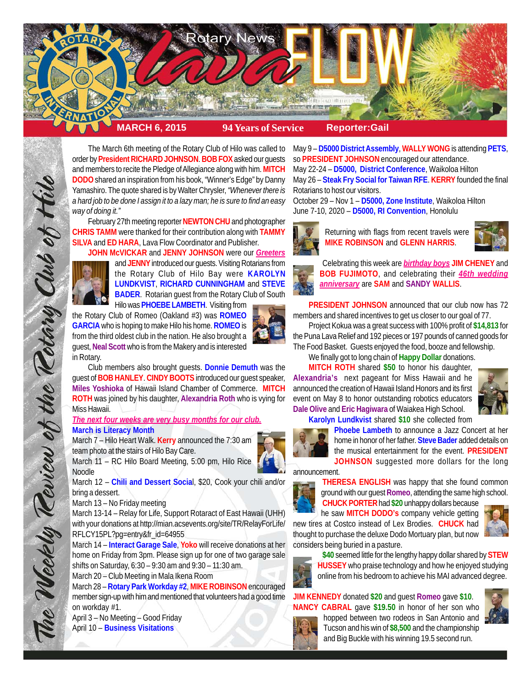

The March 6th meeting of the Rotary Club of Hilo was called to order by **President RICHARD JOHNSON**. **BOB FOX** asked our guests and members to recite the Pledge of Allegiance along with him. **MITCH DODO** shared an inspiration from his book, "Winner's Edge" by Danny Yamashiro. The quote shared is by Walter Chrysler, *"Whenever there is a hard job to be done I assign it to a lazy man; he is sure to find an easy way of doing it."*

February 27th meeting reporter **NEWTON CHU** and photographer **CHRIS TAMM** were thanked for their contribution along with **TAMMY SILVA** and **ED HARA**, Lava Flow Coordinator and Publisher.



The Weekly Teview of the Tetary Club of Hil

**JOHN McVICKAR** and **JENNY JOHNSON** were our *Greeters* and **JENNY** introduced our guests. Visiting Rotarians from the Rotary Club of Hilo Bay were **KAROLYN LUNDKVIST**, **RICHARD CUNNINGHAM** and **STEVE BADER**. Rotarian guest from the Rotary Club of South Hilo was **PHOEBE LAMBETH**. Visiting from

the Rotary Club of Romeo (Oakland #3) was **ROMEO GARCIA** who is hoping to make Hilo his home. **ROMEO** is from the third oldest club in the nation. He also brought a guest, **Neal Scott** who is from the Makery and is interested in Rotary.

Club members also brought guests. **Donnie Demuth** was the guest of **BOB HANLEY**. **CINDY BOOTS** introduced our guest speaker, **Miles Yoshioka** of Hawaii Island Chamber of Commerce. **MITCH ROTH** was joined by his daughter, **Alexandria Roth** who is vying for Miss Hawaii.

*The next four weeks are very busy months for our club.* **March is Literacy Month**

March 7 – Hilo Heart Walk. **Kerry** announced the 7:30 am team photo at the stairs of Hilo Bay Care.

March 11 – RC Hilo Board Meeting, 5:00 pm, Hilo Rice Noodle

March 12 – **Chili and Dessert Socia**l, \$20, Cook your chili and/or bring a dessert.

March 13 – No Friday meeting

March 13-14 – Relay for Life, Support Rotaract of East Hawaii (UHH) with your donations at http://mian.acsevents.org/site/TR/RelayForLife/ RFLCY15PL?pg=entry&fr\_id=64955

March 14 – **Interact Garage Sale**, **Yoko** will receive donations at her home on Friday from 3pm. Please sign up for one of two garage sale shifts on Saturday, 6:30 – 9:30 am and 9:30 – 11:30 am.

March 20 – Club Meeting in Mala Ikena Room

March 28 – **Rotary Park Workday #2**, **MIKE ROBINSON** encouraged member sign-up with him and mentioned that volunteers had a good time on workday #1.

April 3 – No Meeting – Good Friday April 10 – **Business Visitations**

May 9 – **D5000 District Assembly**, **WALLY WONG** is attending **PETS**, so **PRESIDENT JOHNSON** encouraged our attendance. May 22-24 – **D5000, District Conference**, Waikoloa Hilton May 26 – **Steak Fry Social for Taiwan RFE**. **KERRY** founded the final

Rotarians to host our visitors. October 29 – Nov 1 – **D5000, Zone Institute**, Waikoloa Hilton

June 7-10, 2020 – **D5000, RI Convention**, Honolulu



Returning with flags from recent travels were **MIKE ROBINSON** and **GLENN HARRIS**.





Celebrating this week are *birthday boys* **JIM CHENEY** and **BOB FUJIMOTO**, and celebrating their *46th wedding anniversary* are **SAM** and **SANDY WALLIS**.

**PRESIDENT JOHNSON** announced that our club now has 72 members and shared incentives to get us closer to our goal of 77.

Project Kokua was a great success with 100% profit of **\$14,813** for the Puna Lava Relief and 192 pieces or 197 pounds of canned goods for The Food Basket. Guests enjoyed the food, booze and fellowship.

We finally got to long chain of **Happy Dollar** donations. **MITCH ROTH** shared **\$50** to honor his daughter, **Alexandria's** next pageant for Miss Hawaii and he announced the creation of Hawaii Island Honors and its first

event on May 8 to honor outstanding robotics educators



**Dale Olive** and **Eric Hagiwara** of Waiakea High School. **Karolyn Lundkvist** shared **\$10** she collected from



**Phoebe Lambeth** to announce a Jazz Concert at her home in honor of her father. **Steve Bader** added details on the musical entertainment for the event. **PRESIDENT JOHNSON** suggested more dollars for the long

announcement.



**THERESA ENGLISH** was happy that she found common ground with our guest **Romeo**, attending the same high school.

**CHUCK PORTER** had **\$20** unhappy dollars because he saw **MITCH DODO's** company vehicle getting new tires at Costco instead of Lex Brodies. **CHUCK** had thought to purchase the deluxe Dodo Mortuary plan, but now





**\$40** seemed little for the lengthy happy dollar shared by **STEW HUSSEY** who praise technology and how he enjoyed studying online from his bedroom to achieve his MAI advanced degree.

**JIM KENNEDY** donated **\$20** and guest **Romeo** gave **\$10**. **NANCY CABRAL** gave **\$19.50** in honor of her son who hopped between two rodeos in San Antonio and



Tucson and his win of **\$8,500** and the championship and Big Buckle with his winning 19.5 second run.



considers being buried in a pasture.